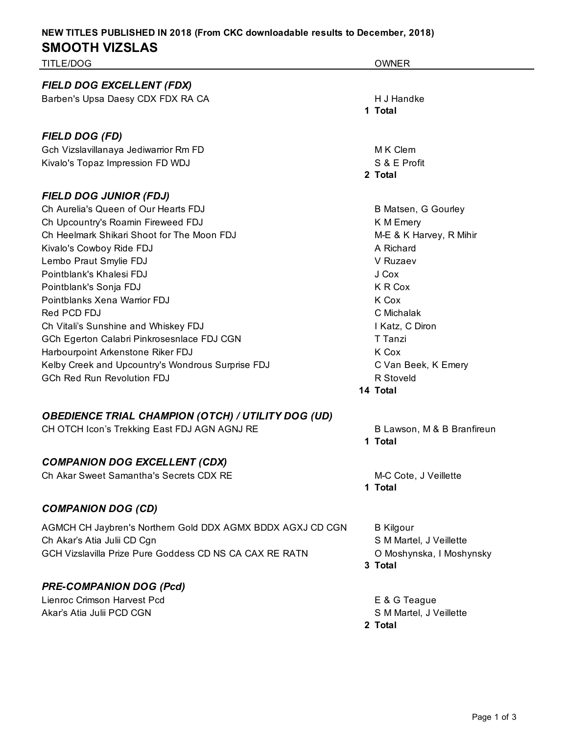| TITLE/DOG                                                  | <b>OWNER</b>               |
|------------------------------------------------------------|----------------------------|
| FIELD DOG EXCELLENT (FDX)                                  |                            |
| Barben's Upsa Daesy CDX FDX RA CA                          | H J Handke                 |
|                                                            | 1 Total                    |
| <b>FIELD DOG (FD)</b>                                      |                            |
| Gch Vizslavillanaya Jediwarrior Rm FD                      | M K Clem                   |
| Kivalo's Topaz Impression FD WDJ                           | S & E Profit               |
|                                                            | 2 Total                    |
| <b>FIELD DOG JUNIOR (FDJ)</b>                              |                            |
| Ch Aurelia's Queen of Our Hearts FDJ                       | <b>B Matsen, G Gourley</b> |
| Ch Upcountry's Roamin Fireweed FDJ                         | K M Emery                  |
| Ch Heelmark Shikari Shoot for The Moon FDJ                 | M-E & K Harvey, R Mihir    |
| Kivalo's Cowboy Ride FDJ                                   | A Richard                  |
| Lembo Praut Smylie FDJ                                     | V Ruzaev                   |
| Pointblank's Khalesi FDJ                                   | J Cox                      |
| Pointblank's Sonja FDJ                                     | K R Cox                    |
| Pointblanks Xena Warrior FDJ                               | K Cox                      |
| Red PCD FDJ                                                | C Michalak                 |
| Ch Vitali's Sunshine and Whiskey FDJ                       | I Katz, C Diron            |
| GCh Egerton Calabri Pinkrosesnlace FDJ CGN                 | T Tanzi                    |
| Harbourpoint Arkenstone Riker FDJ                          | K Cox                      |
| Kelby Creek and Upcountry's Wondrous Surprise FDJ          | C Van Beek, K Emery        |
| <b>GCh Red Run Revolution FDJ</b>                          | R Stoveld                  |
|                                                            | 14 Total                   |
| <b>OBEDIENCE TRIAL CHAMPION (OTCH) / UTILITY DOG (UD)</b>  |                            |
| CH OTCH Icon's Trekking East FDJ AGN AGNJ RE               | B Lawson, M & B Branfireun |
|                                                            | 1 Total                    |
| <b>COMPANION DOG EXCELLENT (CDX)</b>                       |                            |
| Ch Akar Sweet Samantha's Secrets CDX RE                    | M-C Cote, J Veillette      |
|                                                            | 1 Total                    |
| <b>COMPANION DOG (CD)</b>                                  |                            |
| AGMCH CH Jaybren's Northern Gold DDX AGMX BDDX AGXJ CD CGN | <b>B</b> Kilgour           |
| Ch Akar's Atia Julii CD Cgn                                | S M Martel, J Veillette    |
| GCH Vizslavilla Prize Pure Goddess CD NS CA CAX RE RATN    | O Moshynska, I Moshynsky   |
|                                                            | 3 Total                    |
| <b>PRE-COMPANION DOG (Pcd)</b>                             |                            |

Lienroc Crimson Harvest Pcd **E** & G Teague Akar's Atia Julii PCD CGN 600 S M Martel, J Veillette

**2 Total**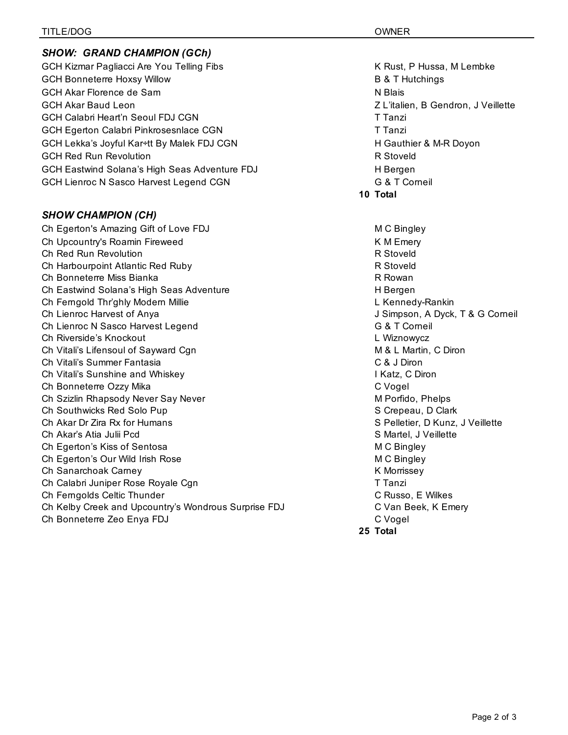## *SHOW: GRAND CHAMPION (GCh)*

GCH Kizmar Pagliacci Are You Telling Fibs K Rust, P Hussa, M Lembke GCH Bonneterre Hoxsy Willow **B & T Hutchings** GCH Akar Florence de Sam N Blais N Blais GCH Akar Baud Leon Z L'italien, B Gendron, J Veillette GCH Calabri Heart'n Seoul FDJ CGN Transistic Control of the Calabri Turn Tranzi GCH Egerton Calabri Pinkrosesnlace CGN Tranzi GCH Lekka's Joyful Kar÷tt By Malek FDJ CGN HERELL HOST HERELL HOW HOT HERELL AND HERELL OVER GCH Red Run Revolution **R** Stoveld GCH Eastwind Solana's High Seas Adventure FDJ **H** Bergen GCH Lienroc N Sasco Harvest Legend CGN G CON G & T Corneil

## *SHOW CHAMPION (CH)*

Ch Egerton's Amazing Gift of Love FDJ MC Bingley Ch Upcountry's Roamin Fireweed **K M Emery** K M Emery Ch Red Run Revolution **R** Stoveld Ch Harbourpoint Atlantic Red Ruby **R** Stoveld Ch Bonneterre Miss Bianka R Rowan Ch Eastwind Solana's High Seas Adventure **H** Bergen Ch Ferngold Thr'ghly Modern Millie L Kennedy-Rankin Ch Lienroc Harvest of Anya J Simpson, A Dyck, T & G Corneil Ch Lienroc N Sasco Harvest Legend G & T Corneil Ch Riverside's Knockout L Wiznowycz Ch Vitali's Lifensoul of Sayward Cgn **M** & L Martin, C Diron Ch Vitali's Summer Fantasia C & J Diron Ch Vitali's Sunshine and Whiskey **I Research Channel China Control** I Katz, C Diron Ch Bonneterre Ozzy Mika C Vogel Ch Szizlin Rhapsody Never Say Never Metal Metal Metal Metal Metal Metal Metal Metal Metal Metal Metal Metal Me Ch Southwicks Red Solo Pup S Crepeau, D Clark Ch Akar Dr Zira Rx for Humans S Pelletier, D Kunz, J Veillette Ch Akar's Atia Julii Pcd S Martel, J Veillette Ch Egerton's Kiss of Sentosa M C Bingley Ch Egerton's Our Wild Irish Rose M C Bingley Ch Sanarchoak Carney K Morrissey K Morrissey Ch Calabri Juniper Rose Royale Cgn The Calabri Juniper Rose Royale Cgn The Tranzi Ch Ferngolds Celtic Thunder Channels Controller Channels Controller Channels Controller Channels Controller C Ch Kelby Creek and Upcountry's Wondrous Surprise FDJ C Van Beek, K Emery Ch Bonneterre Zeo Enya FDJ C Vogel

- 
- **10 Total**

**25 Total**